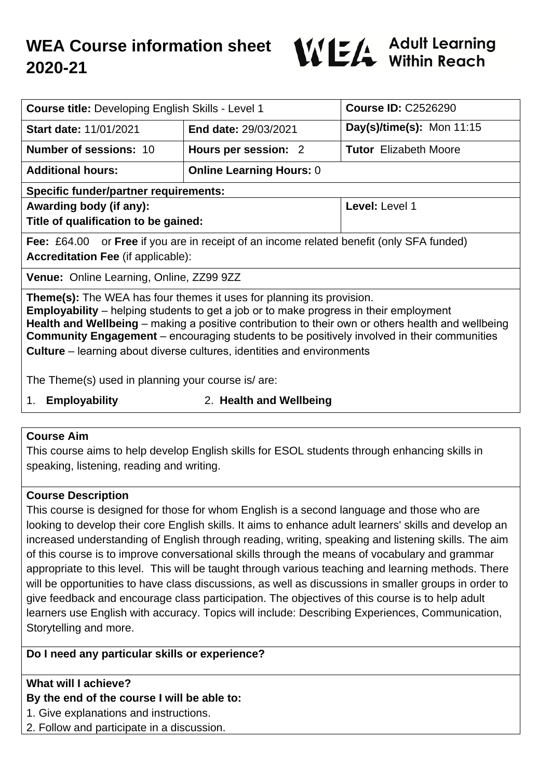

| <b>Course title: Developing English Skills - Level 1</b>                                                                                                                                                                                                                                                                                                                                                                                                                |                                                                                                        | <b>Course ID: C2526290</b>   |  |  |
|-------------------------------------------------------------------------------------------------------------------------------------------------------------------------------------------------------------------------------------------------------------------------------------------------------------------------------------------------------------------------------------------------------------------------------------------------------------------------|--------------------------------------------------------------------------------------------------------|------------------------------|--|--|
| <b>Start date: 11/01/2021</b>                                                                                                                                                                                                                                                                                                                                                                                                                                           | End date: 29/03/2021                                                                                   | Day(s)/time(s): Mon $11:15$  |  |  |
| <b>Number of sessions: 10</b>                                                                                                                                                                                                                                                                                                                                                                                                                                           | Hours per session: 2                                                                                   | <b>Tutor</b> Elizabeth Moore |  |  |
| <b>Additional hours:</b>                                                                                                                                                                                                                                                                                                                                                                                                                                                | <b>Online Learning Hours: 0</b>                                                                        |                              |  |  |
| <b>Specific funder/partner requirements:</b>                                                                                                                                                                                                                                                                                                                                                                                                                            |                                                                                                        |                              |  |  |
| Awarding body (if any):                                                                                                                                                                                                                                                                                                                                                                                                                                                 |                                                                                                        | Level: Level 1               |  |  |
| Title of qualification to be gained:                                                                                                                                                                                                                                                                                                                                                                                                                                    |                                                                                                        |                              |  |  |
|                                                                                                                                                                                                                                                                                                                                                                                                                                                                         | <b>Fee:</b> £64.00 or <b>Free</b> if you are in receipt of an income related benefit (only SFA funded) |                              |  |  |
| <b>Accreditation Fee (if applicable):</b>                                                                                                                                                                                                                                                                                                                                                                                                                               |                                                                                                        |                              |  |  |
| Venue: Online Learning, Online, ZZ99 9ZZ                                                                                                                                                                                                                                                                                                                                                                                                                                |                                                                                                        |                              |  |  |
| <b>Theme(s):</b> The WEA has four themes it uses for planning its provision.<br><b>Employability</b> – helping students to get a job or to make progress in their employment<br>Health and Wellbeing – making a positive contribution to their own or others health and wellbeing<br><b>Community Engagement</b> – encouraging students to be positively involved in their communities<br><b>Culture</b> – learning about diverse cultures, identities and environments |                                                                                                        |                              |  |  |
| The Theme(s) used in planning your course is/are:                                                                                                                                                                                                                                                                                                                                                                                                                       |                                                                                                        |                              |  |  |
| Employability<br>2 Haalth and Wallhaing<br>$\mathbf 1$                                                                                                                                                                                                                                                                                                                                                                                                                  |                                                                                                        |                              |  |  |

- 
- 1. **Employability** 2. **Health and Wellbeing**

### **Course Aim**

This course aims to help develop English skills for ESOL students through enhancing skills in speaking, listening, reading and writing.

### **Course Description**

This course is designed for those for whom English is a second language and those who are looking to develop their core English skills. It aims to enhance adult learners' skills and develop an increased understanding of English through reading, writing, speaking and listening skills. The aim of this course is to improve conversational skills through the means of vocabulary and grammar appropriate to this level. This will be taught through various teaching and learning methods. There will be opportunities to have class discussions, as well as discussions in smaller groups in order to give feedback and encourage class participation. The objectives of this course is to help adult learners use English with accuracy. Topics will include: Describing Experiences, Communication, Storytelling and more.

## **Do I need any particular skills or experience?**

### **What will I achieve?**

# **By the end of the course I will be able to:**

- 1. Give explanations and instructions.
- 2. Follow and participate in a discussion.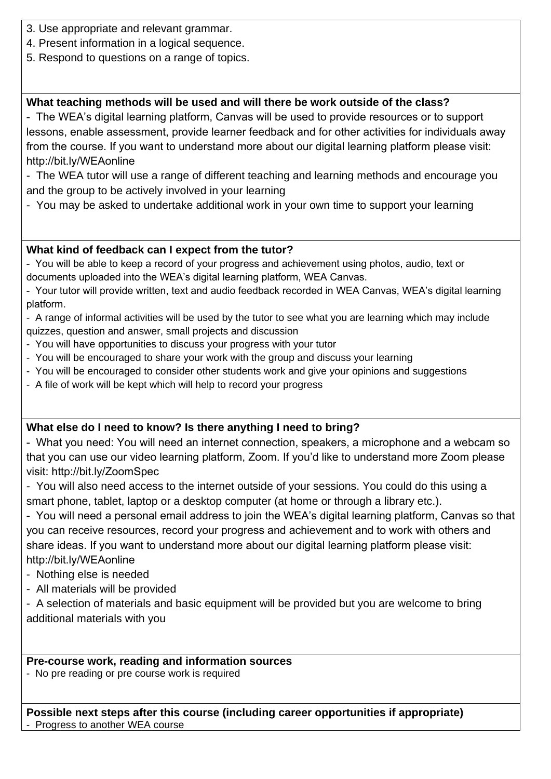- 3. Use appropriate and relevant grammar.
- 4. Present information in a logical sequence.
- 5. Respond to questions on a range of topics.

# **What teaching methods will be used and will there be work outside of the class?**

- The WEA's digital learning platform, Canvas will be used to provide resources or to support lessons, enable assessment, provide learner feedback and for other activities for individuals away from the course. If you want to understand more about our digital learning platform please visit: http://bit.ly/WEAonline

- The WEA tutor will use a range of different teaching and learning methods and encourage you and the group to be actively involved in your learning

- You may be asked to undertake additional work in your own time to support your learning

### **What kind of feedback can I expect from the tutor?**

- You will be able to keep a record of your progress and achievement using photos, audio, text or documents uploaded into the WEA's digital learning platform, WEA Canvas.

- Your tutor will provide written, text and audio feedback recorded in WEA Canvas, WEA's digital learning platform.

- A range of informal activities will be used by the tutor to see what you are learning which may include quizzes, question and answer, small projects and discussion

- You will have opportunities to discuss your progress with your tutor
- You will be encouraged to share your work with the group and discuss your learning
- You will be encouraged to consider other students work and give your opinions and suggestions
- A file of work will be kept which will help to record your progress

### **What else do I need to know? Is there anything I need to bring?**

- What you need: You will need an internet connection, speakers, a microphone and a webcam so that you can use our video learning platform, Zoom. If you'd like to understand more Zoom please visit: http://bit.ly/ZoomSpec

- You will also need access to the internet outside of your sessions. You could do this using a smart phone, tablet, laptop or a desktop computer (at home or through a library etc.).

- You will need a personal email address to join the WEA's digital learning platform, Canvas so that you can receive resources, record your progress and achievement and to work with others and share ideas. If you want to understand more about our digital learning platform please visit: http://bit.ly/WEAonline

- Nothing else is needed

- All materials will be provided

- A selection of materials and basic equipment will be provided but you are welcome to bring additional materials with you

### **Pre-course work, reading and information sources**

- No pre reading or pre course work is required

**Possible next steps after this course (including career opportunities if appropriate)** - Progress to another WEA course